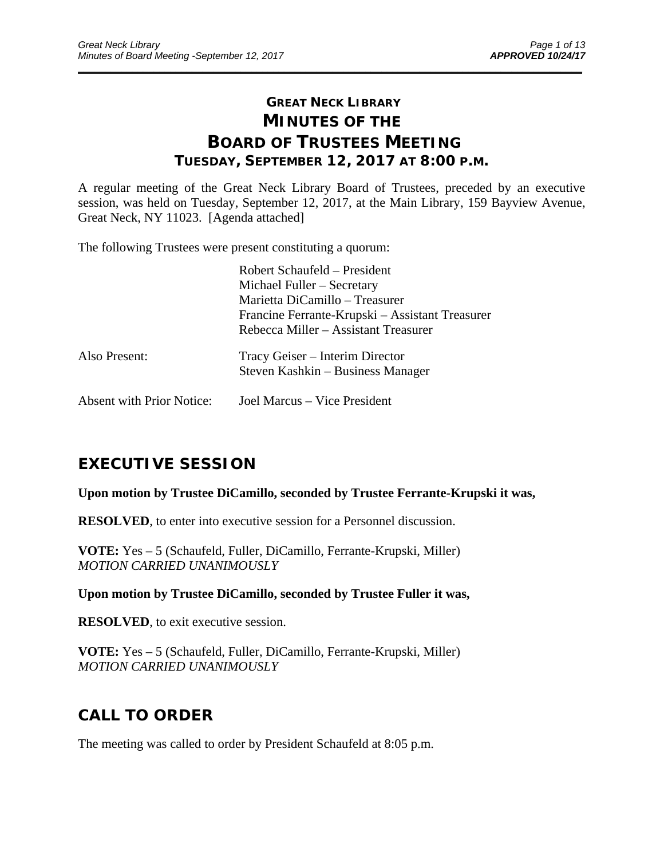# **GREAT NECK LIBRARY MINUTES OF THE BOARD OF TRUSTEES MEETING TUESDAY, SEPTEMBER 12, 2017 AT 8:00 P.M.**

\_\_\_\_\_\_\_\_\_\_\_\_\_\_\_\_\_\_\_\_\_\_\_\_\_\_\_\_\_\_\_\_\_\_\_\_\_\_\_\_\_\_\_\_\_\_\_\_\_\_\_\_\_\_\_\_\_\_\_\_\_\_\_\_\_\_\_\_\_\_\_\_\_\_\_\_\_\_\_\_\_\_\_\_\_\_\_\_\_\_\_\_\_

A regular meeting of the Great Neck Library Board of Trustees, preceded by an executive session, was held on Tuesday, September 12, 2017, at the Main Library, 159 Bayview Avenue, Great Neck, NY 11023. [Agenda attached]

The following Trustees were present constituting a quorum:

|                                  | Robert Schaufeld – President<br>Michael Fuller – Secretary<br>Marietta DiCamillo - Treasurer<br>Francine Ferrante-Krupski – Assistant Treasurer<br>Rebecca Miller – Assistant Treasurer |
|----------------------------------|-----------------------------------------------------------------------------------------------------------------------------------------------------------------------------------------|
| Also Present:                    | Tracy Geiser – Interim Director<br>Steven Kashkin - Business Manager                                                                                                                    |
| <b>Absent with Prior Notice:</b> | Joel Marcus – Vice President                                                                                                                                                            |

# **EXECUTIVE SESSION**

**Upon motion by Trustee DiCamillo, seconded by Trustee Ferrante-Krupski it was,** 

**RESOLVED**, to enter into executive session for a Personnel discussion.

**VOTE:** Yes – 5 (Schaufeld, Fuller, DiCamillo, Ferrante-Krupski, Miller) *MOTION CARRIED UNANIMOUSLY* 

**Upon motion by Trustee DiCamillo, seconded by Trustee Fuller it was,** 

**RESOLVED**, to exit executive session.

**VOTE:** Yes – 5 (Schaufeld, Fuller, DiCamillo, Ferrante-Krupski, Miller) *MOTION CARRIED UNANIMOUSLY* 

# **CALL TO ORDER**

The meeting was called to order by President Schaufeld at 8:05 p.m.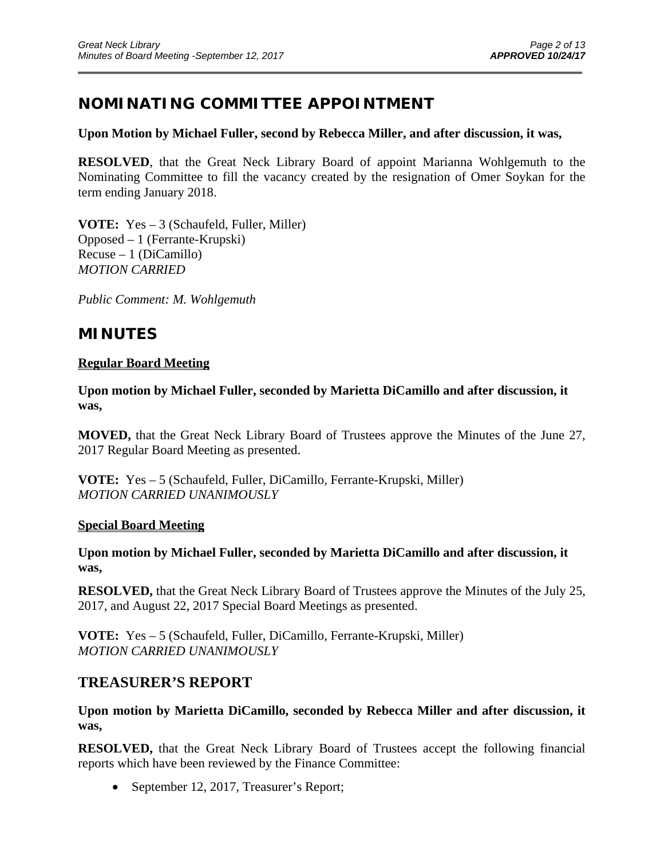# **NOMINATING COMMITTEE APPOINTMENT**

#### **Upon Motion by Michael Fuller, second by Rebecca Miller, and after discussion, it was,**

\_\_\_\_\_\_\_\_\_\_\_\_\_\_\_\_\_\_\_\_\_\_\_\_\_\_\_\_\_\_\_\_\_\_\_\_\_\_\_\_\_\_\_\_\_\_\_\_\_\_\_\_\_\_\_\_\_\_\_\_\_\_\_\_\_\_\_\_\_\_\_\_\_\_\_\_\_\_\_\_\_\_\_\_\_\_\_\_\_\_\_\_\_

**RESOLVED**, that the Great Neck Library Board of appoint Marianna Wohlgemuth to the Nominating Committee to fill the vacancy created by the resignation of Omer Soykan for the term ending January 2018.

**VOTE:** Yes – 3 (Schaufeld, Fuller, Miller) Opposed – 1 (Ferrante-Krupski) Recuse – 1 (DiCamillo) *MOTION CARRIED* 

*Public Comment: M. Wohlgemuth* 

## **MINUTES**

### **Regular Board Meeting**

**Upon motion by Michael Fuller, seconded by Marietta DiCamillo and after discussion, it was,** 

**MOVED,** that the Great Neck Library Board of Trustees approve the Minutes of the June 27, 2017 Regular Board Meeting as presented.

**VOTE:** Yes – 5 (Schaufeld, Fuller, DiCamillo, Ferrante-Krupski, Miller) *MOTION CARRIED UNANIMOUSLY* 

### **Special Board Meeting**

**Upon motion by Michael Fuller, seconded by Marietta DiCamillo and after discussion, it was,** 

**RESOLVED,** that the Great Neck Library Board of Trustees approve the Minutes of the July 25, 2017, and August 22, 2017 Special Board Meetings as presented.

**VOTE:** Yes – 5 (Schaufeld, Fuller, DiCamillo, Ferrante-Krupski, Miller) *MOTION CARRIED UNANIMOUSLY* 

## **TREASURER'S REPORT**

**Upon motion by Marietta DiCamillo, seconded by Rebecca Miller and after discussion, it was,** 

**RESOLVED,** that the Great Neck Library Board of Trustees accept the following financial reports which have been reviewed by the Finance Committee:

• September 12, 2017, Treasurer's Report;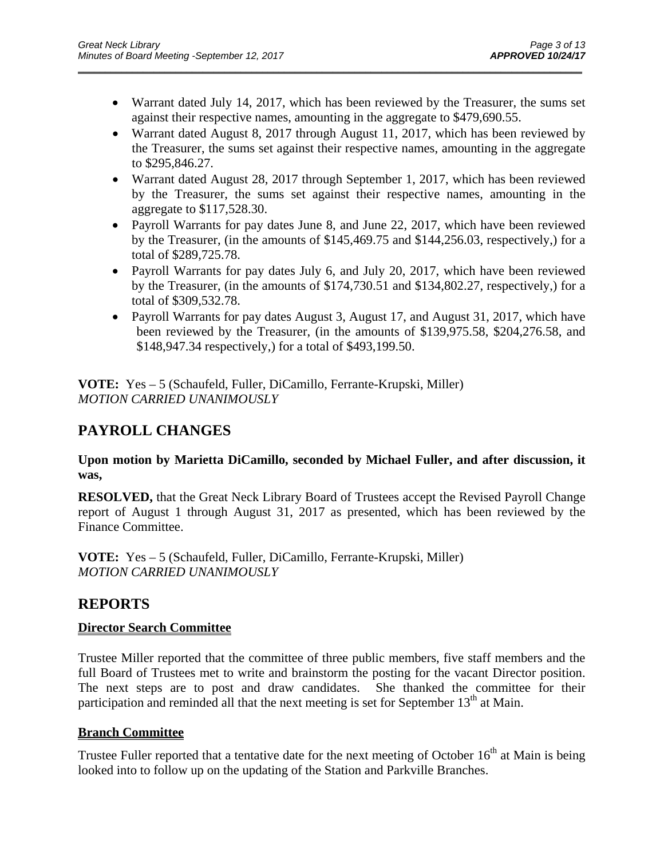Warrant dated July 14, 2017, which has been reviewed by the Treasurer, the sums set against their respective names, amounting in the aggregate to \$479,690.55.

\_\_\_\_\_\_\_\_\_\_\_\_\_\_\_\_\_\_\_\_\_\_\_\_\_\_\_\_\_\_\_\_\_\_\_\_\_\_\_\_\_\_\_\_\_\_\_\_\_\_\_\_\_\_\_\_\_\_\_\_\_\_\_\_\_\_\_\_\_\_\_\_\_\_\_\_\_\_\_\_\_\_\_\_\_\_\_\_\_\_\_\_\_

- Warrant dated August 8, 2017 through August 11, 2017, which has been reviewed by the Treasurer, the sums set against their respective names, amounting in the aggregate to \$295,846.27.
- Warrant dated August 28, 2017 through September 1, 2017, which has been reviewed by the Treasurer, the sums set against their respective names, amounting in the aggregate to \$117,528.30.
- Payroll Warrants for pay dates June 8, and June 22, 2017, which have been reviewed by the Treasurer, (in the amounts of \$145,469.75 and \$144,256.03, respectively,) for a total of \$289,725.78.
- Payroll Warrants for pay dates July 6, and July 20, 2017, which have been reviewed by the Treasurer, (in the amounts of \$174,730.51 and \$134,802.27, respectively,) for a total of \$309,532.78.
- Payroll Warrants for pay dates August 3, August 17, and August 31, 2017, which have been reviewed by the Treasurer, (in the amounts of \$139,975.58, \$204,276.58, and \$148,947.34 respectively,) for a total of \$493,199.50.

**VOTE:** Yes – 5 (Schaufeld, Fuller, DiCamillo, Ferrante-Krupski, Miller) *MOTION CARRIED UNANIMOUSLY* 

# **PAYROLL CHANGES**

**Upon motion by Marietta DiCamillo, seconded by Michael Fuller, and after discussion, it was,** 

**RESOLVED,** that the Great Neck Library Board of Trustees accept the Revised Payroll Change report of August 1 through August 31, 2017 as presented, which has been reviewed by the Finance Committee.

**VOTE:** Yes – 5 (Schaufeld, Fuller, DiCamillo, Ferrante-Krupski, Miller) *MOTION CARRIED UNANIMOUSLY* 

# **REPORTS**

### **Director Search Committee**

Trustee Miller reported that the committee of three public members, five staff members and the full Board of Trustees met to write and brainstorm the posting for the vacant Director position. The next steps are to post and draw candidates. She thanked the committee for their participation and reminded all that the next meeting is set for September  $13<sup>th</sup>$  at Main.

### **Branch Committee**

Trustee Fuller reported that a tentative date for the next meeting of October  $16<sup>th</sup>$  at Main is being looked into to follow up on the updating of the Station and Parkville Branches.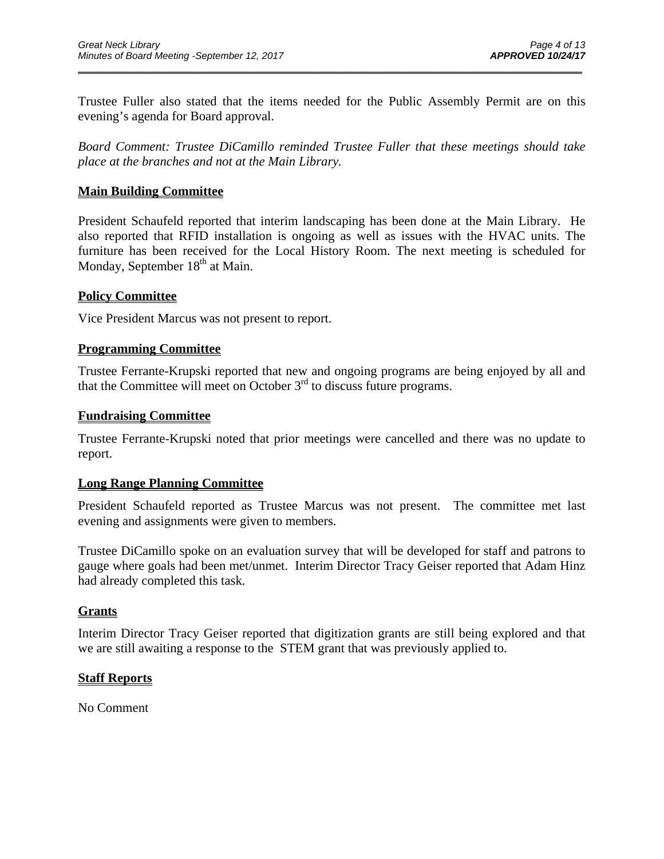Trustee Fuller also stated that the items needed for the Public Assembly Permit are on this evening's agenda for Board approval.

\_\_\_\_\_\_\_\_\_\_\_\_\_\_\_\_\_\_\_\_\_\_\_\_\_\_\_\_\_\_\_\_\_\_\_\_\_\_\_\_\_\_\_\_\_\_\_\_\_\_\_\_\_\_\_\_\_\_\_\_\_\_\_\_\_\_\_\_\_\_\_\_\_\_\_\_\_\_\_\_\_\_\_\_\_\_\_\_\_\_\_\_\_

*Board Comment: Trustee DiCamillo reminded Trustee Fuller that these meetings should take place at the branches and not at the Main Library.* 

#### **Main Building Committee**

President Schaufeld reported that interim landscaping has been done at the Main Library. He also reported that RFID installation is ongoing as well as issues with the HVAC units. The furniture has been received for the Local History Room. The next meeting is scheduled for Monday, September  $18<sup>th</sup>$  at Main.

#### **Policy Committee**

Vice President Marcus was not present to report.

#### **Programming Committee**

Trustee Ferrante-Krupski reported that new and ongoing programs are being enjoyed by all and that the Committee will meet on October 3rd to discuss future programs.

#### **Fundraising Committee**

Trustee Ferrante-Krupski noted that prior meetings were cancelled and there was no update to report.

#### **Long Range Planning Committee**

President Schaufeld reported as Trustee Marcus was not present. The committee met last evening and assignments were given to members.

Trustee DiCamillo spoke on an evaluation survey that will be developed for staff and patrons to gauge where goals had been met/unmet. Interim Director Tracy Geiser reported that Adam Hinz had already completed this task.

#### **Grants**

Interim Director Tracy Geiser reported that digitization grants are still being explored and that we are still awaiting a response to the STEM grant that was previously applied to.

#### **Staff Reports**

No Comment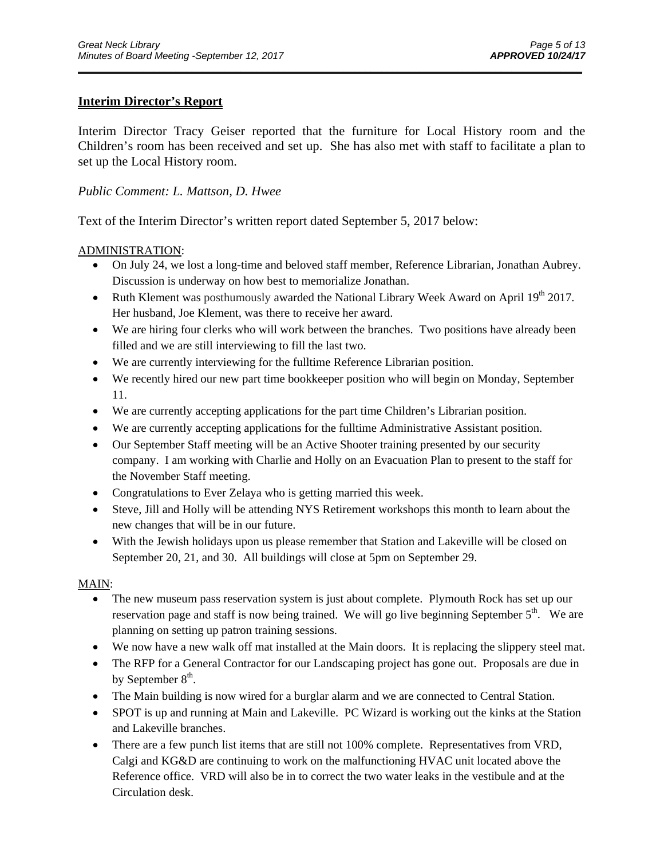### **Interim Director's Report**

Interim Director Tracy Geiser reported that the furniture for Local History room and the Children's room has been received and set up. She has also met with staff to facilitate a plan to set up the Local History room.

\_\_\_\_\_\_\_\_\_\_\_\_\_\_\_\_\_\_\_\_\_\_\_\_\_\_\_\_\_\_\_\_\_\_\_\_\_\_\_\_\_\_\_\_\_\_\_\_\_\_\_\_\_\_\_\_\_\_\_\_\_\_\_\_\_\_\_\_\_\_\_\_\_\_\_\_\_\_\_\_\_\_\_\_\_\_\_\_\_\_\_\_\_

#### *Public Comment: L. Mattson, D. Hwee*

Text of the Interim Director's written report dated September 5, 2017 below:

#### ADMINISTRATION:

- On July 24, we lost a long-time and beloved staff member, Reference Librarian, Jonathan Aubrey. Discussion is underway on how best to memorialize Jonathan.
- Ruth Klement was posthumously awarded the National Library Week Award on April  $19<sup>th</sup> 2017$ . Her husband, Joe Klement, was there to receive her award.
- We are hiring four clerks who will work between the branches. Two positions have already been filled and we are still interviewing to fill the last two.
- We are currently interviewing for the fulltime Reference Librarian position.
- We recently hired our new part time bookkeeper position who will begin on Monday, September 11.
- We are currently accepting applications for the part time Children's Librarian position.
- We are currently accepting applications for the fulltime Administrative Assistant position.
- Our September Staff meeting will be an Active Shooter training presented by our security company. I am working with Charlie and Holly on an Evacuation Plan to present to the staff for the November Staff meeting.
- Congratulations to Ever Zelaya who is getting married this week.
- Steve, Jill and Holly will be attending NYS Retirement workshops this month to learn about the new changes that will be in our future.
- With the Jewish holidays upon us please remember that Station and Lakeville will be closed on September 20, 21, and 30. All buildings will close at 5pm on September 29.

#### MAIN:

- The new museum pass reservation system is just about complete. Plymouth Rock has set up our reservation page and staff is now being trained. We will go live beginning September  $5<sup>th</sup>$ . We are planning on setting up patron training sessions.
- We now have a new walk off mat installed at the Main doors. It is replacing the slippery steel mat.
- The RFP for a General Contractor for our Landscaping project has gone out. Proposals are due in by September  $8<sup>th</sup>$ .
- The Main building is now wired for a burglar alarm and we are connected to Central Station.
- SPOT is up and running at Main and Lakeville. PC Wizard is working out the kinks at the Station and Lakeville branches.
- There are a few punch list items that are still not 100% complete. Representatives from VRD, Calgi and KG&D are continuing to work on the malfunctioning HVAC unit located above the Reference office. VRD will also be in to correct the two water leaks in the vestibule and at the Circulation desk.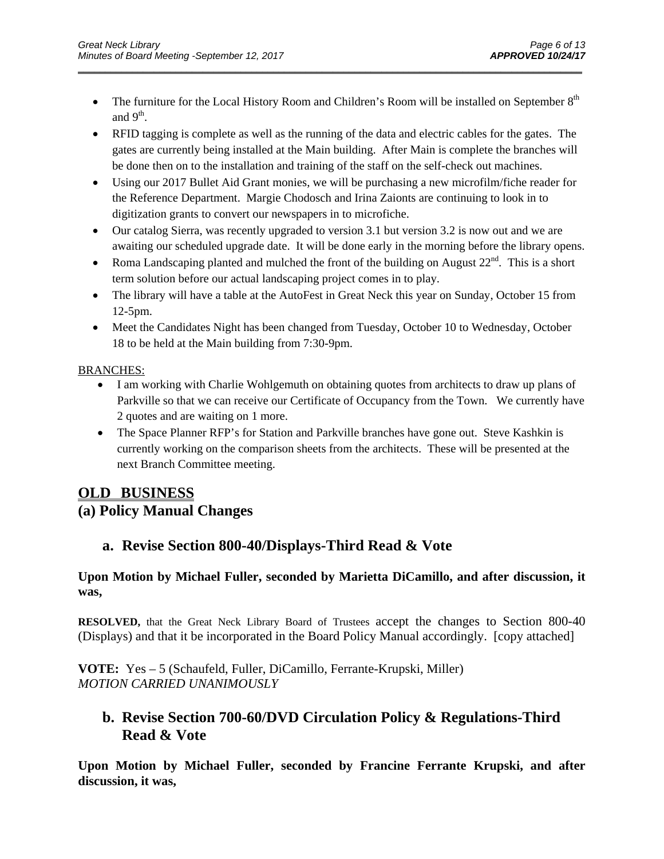• The furniture for the Local History Room and Children's Room will be installed on September  $8<sup>th</sup>$ and  $9<sup>th</sup>$ .

\_\_\_\_\_\_\_\_\_\_\_\_\_\_\_\_\_\_\_\_\_\_\_\_\_\_\_\_\_\_\_\_\_\_\_\_\_\_\_\_\_\_\_\_\_\_\_\_\_\_\_\_\_\_\_\_\_\_\_\_\_\_\_\_\_\_\_\_\_\_\_\_\_\_\_\_\_\_\_\_\_\_\_\_\_\_\_\_\_\_\_\_\_

- RFID tagging is complete as well as the running of the data and electric cables for the gates. The gates are currently being installed at the Main building. After Main is complete the branches will be done then on to the installation and training of the staff on the self-check out machines.
- Using our 2017 Bullet Aid Grant monies, we will be purchasing a new microfilm/fiche reader for the Reference Department. Margie Chodosch and Irina Zaionts are continuing to look in to digitization grants to convert our newspapers in to microfiche.
- Our catalog Sierra, was recently upgraded to version 3.1 but version 3.2 is now out and we are awaiting our scheduled upgrade date. It will be done early in the morning before the library opens.
- Roma Landscaping planted and mulched the front of the building on August  $22<sup>nd</sup>$ . This is a short term solution before our actual landscaping project comes in to play.
- The library will have a table at the AutoFest in Great Neck this year on Sunday, October 15 from 12-5pm.
- Meet the Candidates Night has been changed from Tuesday, October 10 to Wednesday, October 18 to be held at the Main building from 7:30-9pm.

#### BRANCHES:

- I am working with Charlie Wohlgemuth on obtaining quotes from architects to draw up plans of Parkville so that we can receive our Certificate of Occupancy from the Town. We currently have 2 quotes and are waiting on 1 more.
- The Space Planner RFP's for Station and Parkville branches have gone out. Steve Kashkin is currently working on the comparison sheets from the architects. These will be presented at the next Branch Committee meeting.

## **OLD BUSINESS**

## **(a) Policy Manual Changes**

## **a. Revise Section 800-40/Displays-Third Read & Vote**

### **Upon Motion by Michael Fuller, seconded by Marietta DiCamillo, and after discussion, it was,**

**RESOLVED,** that the Great Neck Library Board of Trustees accept the changes to Section 800-40 (Displays) and that it be incorporated in the Board Policy Manual accordingly. [copy attached]

**VOTE:** Yes – 5 (Schaufeld, Fuller, DiCamillo, Ferrante-Krupski, Miller) *MOTION CARRIED UNANIMOUSLY* 

## **b. Revise Section 700-60/DVD Circulation Policy & Regulations-Third Read & Vote**

**Upon Motion by Michael Fuller, seconded by Francine Ferrante Krupski, and after discussion, it was,**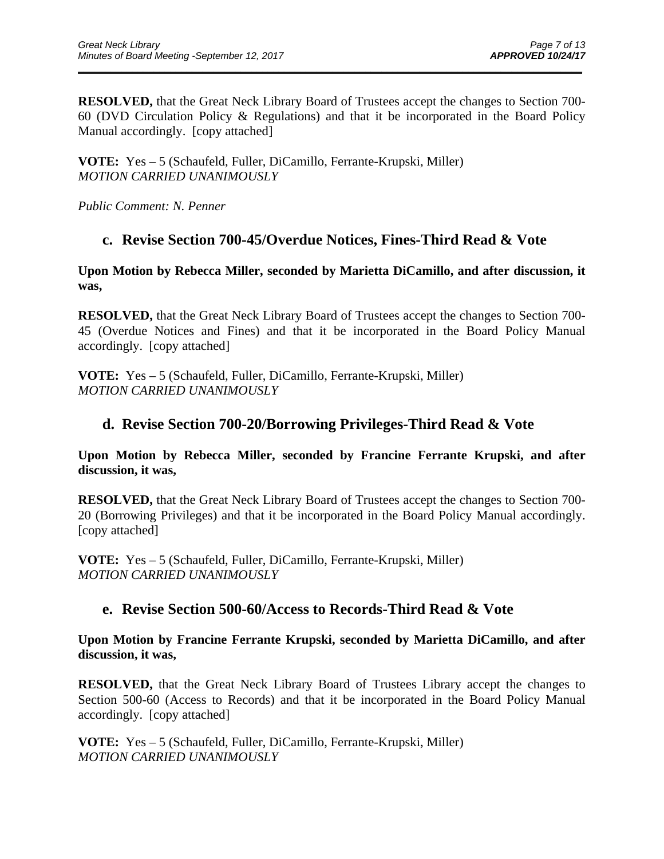**RESOLVED,** that the Great Neck Library Board of Trustees accept the changes to Section 700- 60 (DVD Circulation Policy & Regulations) and that it be incorporated in the Board Policy Manual accordingly. [copy attached]

\_\_\_\_\_\_\_\_\_\_\_\_\_\_\_\_\_\_\_\_\_\_\_\_\_\_\_\_\_\_\_\_\_\_\_\_\_\_\_\_\_\_\_\_\_\_\_\_\_\_\_\_\_\_\_\_\_\_\_\_\_\_\_\_\_\_\_\_\_\_\_\_\_\_\_\_\_\_\_\_\_\_\_\_\_\_\_\_\_\_\_\_\_

**VOTE:** Yes – 5 (Schaufeld, Fuller, DiCamillo, Ferrante-Krupski, Miller) *MOTION CARRIED UNANIMOUSLY* 

*Public Comment: N. Penner* 

## **c. Revise Section 700-45/Overdue Notices, Fines-Third Read & Vote**

**Upon Motion by Rebecca Miller, seconded by Marietta DiCamillo, and after discussion, it was,** 

**RESOLVED,** that the Great Neck Library Board of Trustees accept the changes to Section 700- 45 (Overdue Notices and Fines) and that it be incorporated in the Board Policy Manual accordingly. [copy attached]

**VOTE:** Yes – 5 (Schaufeld, Fuller, DiCamillo, Ferrante-Krupski, Miller) *MOTION CARRIED UNANIMOUSLY* 

## **d. Revise Section 700-20/Borrowing Privileges-Third Read & Vote**

**Upon Motion by Rebecca Miller, seconded by Francine Ferrante Krupski, and after discussion, it was,** 

**RESOLVED,** that the Great Neck Library Board of Trustees accept the changes to Section 700- 20 (Borrowing Privileges) and that it be incorporated in the Board Policy Manual accordingly. [copy attached]

**VOTE:** Yes – 5 (Schaufeld, Fuller, DiCamillo, Ferrante-Krupski, Miller) *MOTION CARRIED UNANIMOUSLY* 

### **e. Revise Section 500-60/Access to Records-Third Read & Vote**

**Upon Motion by Francine Ferrante Krupski, seconded by Marietta DiCamillo, and after discussion, it was,** 

**RESOLVED,** that the Great Neck Library Board of Trustees Library accept the changes to Section 500-60 (Access to Records) and that it be incorporated in the Board Policy Manual accordingly. [copy attached]

**VOTE:** Yes – 5 (Schaufeld, Fuller, DiCamillo, Ferrante-Krupski, Miller) *MOTION CARRIED UNANIMOUSLY*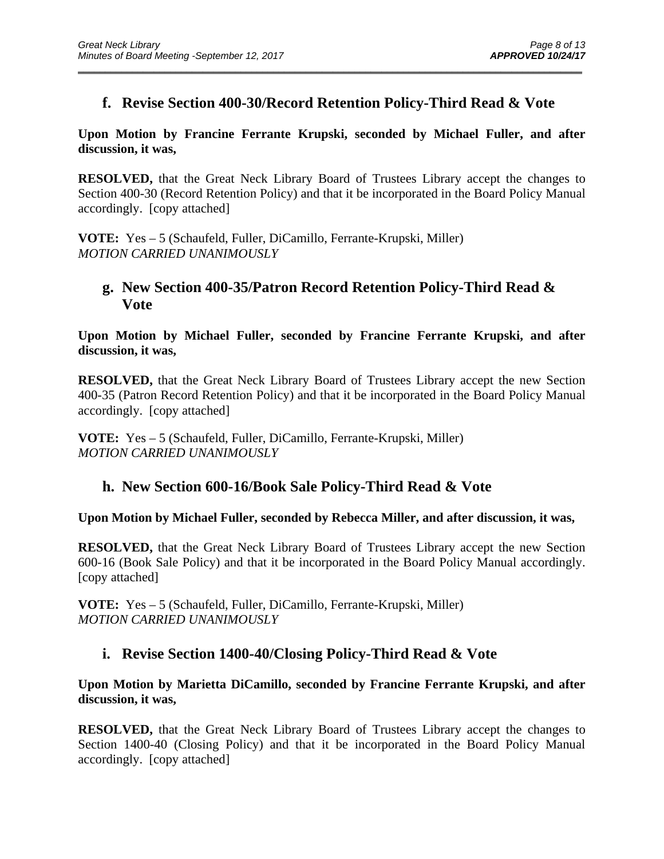## **f. Revise Section 400-30/Record Retention Policy-Third Read & Vote**

\_\_\_\_\_\_\_\_\_\_\_\_\_\_\_\_\_\_\_\_\_\_\_\_\_\_\_\_\_\_\_\_\_\_\_\_\_\_\_\_\_\_\_\_\_\_\_\_\_\_\_\_\_\_\_\_\_\_\_\_\_\_\_\_\_\_\_\_\_\_\_\_\_\_\_\_\_\_\_\_\_\_\_\_\_\_\_\_\_\_\_\_\_

### **Upon Motion by Francine Ferrante Krupski, seconded by Michael Fuller, and after discussion, it was,**

**RESOLVED,** that the Great Neck Library Board of Trustees Library accept the changes to Section 400-30 (Record Retention Policy) and that it be incorporated in the Board Policy Manual accordingly. [copy attached]

**VOTE:** Yes – 5 (Schaufeld, Fuller, DiCamillo, Ferrante-Krupski, Miller) *MOTION CARRIED UNANIMOUSLY* 

## **g. New Section 400-35/Patron Record Retention Policy-Third Read & Vote**

**Upon Motion by Michael Fuller, seconded by Francine Ferrante Krupski, and after discussion, it was,** 

**RESOLVED,** that the Great Neck Library Board of Trustees Library accept the new Section 400-35 (Patron Record Retention Policy) and that it be incorporated in the Board Policy Manual accordingly. [copy attached]

**VOTE:** Yes – 5 (Schaufeld, Fuller, DiCamillo, Ferrante-Krupski, Miller) *MOTION CARRIED UNANIMOUSLY* 

## **h. New Section 600-16/Book Sale Policy-Third Read & Vote**

### **Upon Motion by Michael Fuller, seconded by Rebecca Miller, and after discussion, it was,**

**RESOLVED,** that the Great Neck Library Board of Trustees Library accept the new Section 600-16 (Book Sale Policy) and that it be incorporated in the Board Policy Manual accordingly. [copy attached]

**VOTE:** Yes – 5 (Schaufeld, Fuller, DiCamillo, Ferrante-Krupski, Miller) *MOTION CARRIED UNANIMOUSLY* 

## **i. Revise Section 1400-40/Closing Policy-Third Read & Vote**

### **Upon Motion by Marietta DiCamillo, seconded by Francine Ferrante Krupski, and after discussion, it was,**

**RESOLVED,** that the Great Neck Library Board of Trustees Library accept the changes to Section 1400-40 (Closing Policy) and that it be incorporated in the Board Policy Manual accordingly. [copy attached]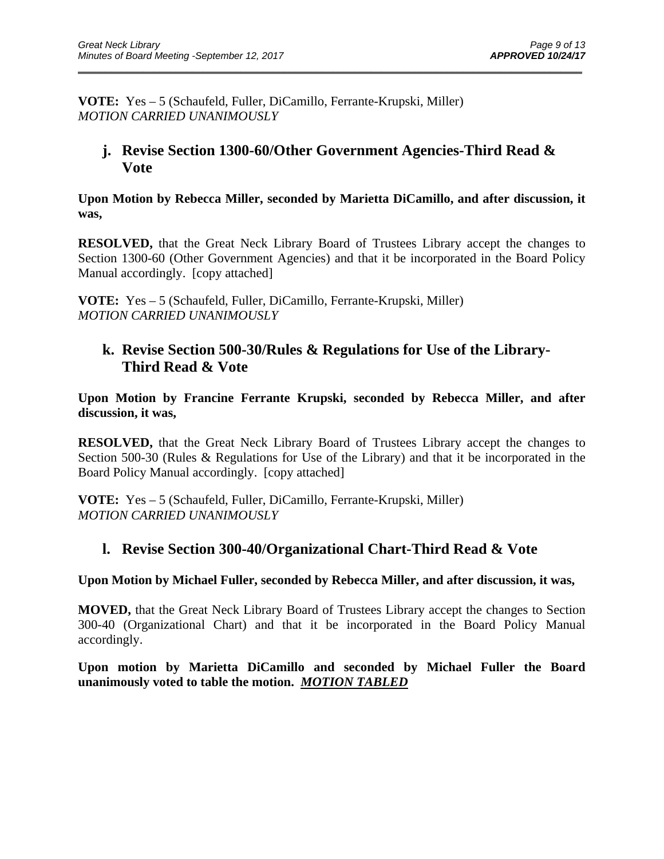**VOTE:** Yes – 5 (Schaufeld, Fuller, DiCamillo, Ferrante-Krupski, Miller) *MOTION CARRIED UNANIMOUSLY* 

## **j. Revise Section 1300-60/Other Government Agencies-Third Read & Vote**

\_\_\_\_\_\_\_\_\_\_\_\_\_\_\_\_\_\_\_\_\_\_\_\_\_\_\_\_\_\_\_\_\_\_\_\_\_\_\_\_\_\_\_\_\_\_\_\_\_\_\_\_\_\_\_\_\_\_\_\_\_\_\_\_\_\_\_\_\_\_\_\_\_\_\_\_\_\_\_\_\_\_\_\_\_\_\_\_\_\_\_\_\_

**Upon Motion by Rebecca Miller, seconded by Marietta DiCamillo, and after discussion, it was,** 

**RESOLVED,** that the Great Neck Library Board of Trustees Library accept the changes to Section 1300-60 (Other Government Agencies) and that it be incorporated in the Board Policy Manual accordingly. [copy attached]

**VOTE:** Yes – 5 (Schaufeld, Fuller, DiCamillo, Ferrante-Krupski, Miller) *MOTION CARRIED UNANIMOUSLY* 

## **k. Revise Section 500-30/Rules & Regulations for Use of the Library-Third Read & Vote**

**Upon Motion by Francine Ferrante Krupski, seconded by Rebecca Miller, and after discussion, it was,** 

**RESOLVED,** that the Great Neck Library Board of Trustees Library accept the changes to Section 500-30 (Rules & Regulations for Use of the Library) and that it be incorporated in the Board Policy Manual accordingly. [copy attached]

**VOTE:** Yes – 5 (Schaufeld, Fuller, DiCamillo, Ferrante-Krupski, Miller) *MOTION CARRIED UNANIMOUSLY* 

## **l. Revise Section 300-40/Organizational Chart-Third Read & Vote**

**Upon Motion by Michael Fuller, seconded by Rebecca Miller, and after discussion, it was,** 

**MOVED,** that the Great Neck Library Board of Trustees Library accept the changes to Section 300-40 (Organizational Chart) and that it be incorporated in the Board Policy Manual accordingly.

**Upon motion by Marietta DiCamillo and seconded by Michael Fuller the Board unanimously voted to table the motion.** *MOTION TABLED*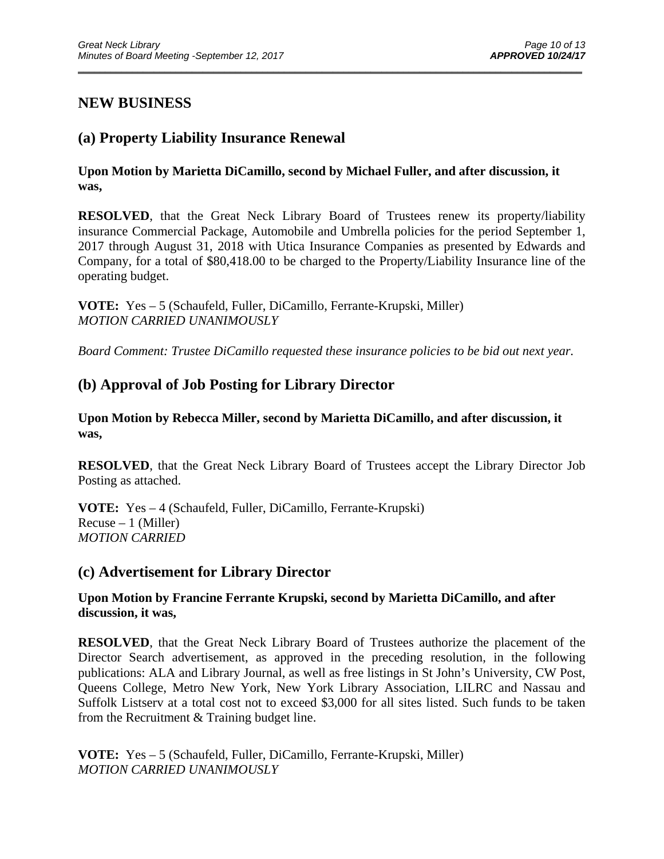## **NEW BUSINESS**

## **(a) Property Liability Insurance Renewal**

**Upon Motion by Marietta DiCamillo, second by Michael Fuller, and after discussion, it was,** 

\_\_\_\_\_\_\_\_\_\_\_\_\_\_\_\_\_\_\_\_\_\_\_\_\_\_\_\_\_\_\_\_\_\_\_\_\_\_\_\_\_\_\_\_\_\_\_\_\_\_\_\_\_\_\_\_\_\_\_\_\_\_\_\_\_\_\_\_\_\_\_\_\_\_\_\_\_\_\_\_\_\_\_\_\_\_\_\_\_\_\_\_\_

**RESOLVED**, that the Great Neck Library Board of Trustees renew its property/liability insurance Commercial Package, Automobile and Umbrella policies for the period September 1, 2017 through August 31, 2018 with Utica Insurance Companies as presented by Edwards and Company, for a total of \$80,418.00 to be charged to the Property/Liability Insurance line of the operating budget.

**VOTE:** Yes – 5 (Schaufeld, Fuller, DiCamillo, Ferrante-Krupski, Miller) *MOTION CARRIED UNANIMOUSLY* 

*Board Comment: Trustee DiCamillo requested these insurance policies to be bid out next year.* 

## **(b) Approval of Job Posting for Library Director**

**Upon Motion by Rebecca Miller, second by Marietta DiCamillo, and after discussion, it was,** 

**RESOLVED**, that the Great Neck Library Board of Trustees accept the Library Director Job Posting as attached.

**VOTE:** Yes – 4 (Schaufeld, Fuller, DiCamillo, Ferrante-Krupski)  $Recuse - 1$  (Miller) *MOTION CARRIED* 

### **(c) Advertisement for Library Director**

**Upon Motion by Francine Ferrante Krupski, second by Marietta DiCamillo, and after discussion, it was,** 

**RESOLVED**, that the Great Neck Library Board of Trustees authorize the placement of the Director Search advertisement, as approved in the preceding resolution, in the following publications: ALA and Library Journal, as well as free listings in St John's University, CW Post, Queens College, Metro New York, New York Library Association, LILRC and Nassau and Suffolk Listserv at a total cost not to exceed \$3,000 for all sites listed. Such funds to be taken from the Recruitment & Training budget line.

**VOTE:** Yes – 5 (Schaufeld, Fuller, DiCamillo, Ferrante-Krupski, Miller) *MOTION CARRIED UNANIMOUSLY*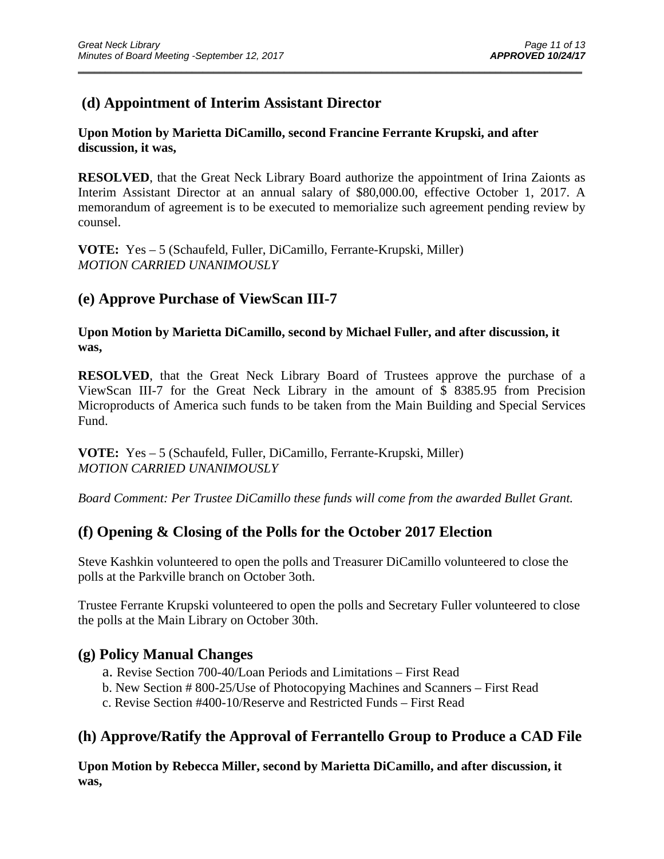## **(d) Appointment of Interim Assistant Director**

#### **Upon Motion by Marietta DiCamillo, second Francine Ferrante Krupski, and after discussion, it was,**

**RESOLVED**, that the Great Neck Library Board authorize the appointment of Irina Zaionts as Interim Assistant Director at an annual salary of \$80,000.00, effective October 1, 2017. A memorandum of agreement is to be executed to memorialize such agreement pending review by counsel.

\_\_\_\_\_\_\_\_\_\_\_\_\_\_\_\_\_\_\_\_\_\_\_\_\_\_\_\_\_\_\_\_\_\_\_\_\_\_\_\_\_\_\_\_\_\_\_\_\_\_\_\_\_\_\_\_\_\_\_\_\_\_\_\_\_\_\_\_\_\_\_\_\_\_\_\_\_\_\_\_\_\_\_\_\_\_\_\_\_\_\_\_\_

**VOTE:** Yes – 5 (Schaufeld, Fuller, DiCamillo, Ferrante-Krupski, Miller) *MOTION CARRIED UNANIMOUSLY* 

## **(e) Approve Purchase of ViewScan III-7**

**Upon Motion by Marietta DiCamillo, second by Michael Fuller, and after discussion, it was,** 

**RESOLVED**, that the Great Neck Library Board of Trustees approve the purchase of a ViewScan III-7 for the Great Neck Library in the amount of \$ 8385.95 from Precision Microproducts of America such funds to be taken from the Main Building and Special Services Fund.

**VOTE:** Yes – 5 (Schaufeld, Fuller, DiCamillo, Ferrante-Krupski, Miller) *MOTION CARRIED UNANIMOUSLY* 

*Board Comment: Per Trustee DiCamillo these funds will come from the awarded Bullet Grant.* 

## **(f) Opening & Closing of the Polls for the October 2017 Election**

Steve Kashkin volunteered to open the polls and Treasurer DiCamillo volunteered to close the polls at the Parkville branch on October 3oth.

Trustee Ferrante Krupski volunteered to open the polls and Secretary Fuller volunteered to close the polls at the Main Library on October 30th.

### **(g) Policy Manual Changes**

- a. Revise Section 700-40/Loan Periods and Limitations First Read
- b. New Section # 800-25/Use of Photocopying Machines and Scanners First Read
- c. Revise Section #400-10/Reserve and Restricted Funds First Read

## **(h) Approve/Ratify the Approval of Ferrantello Group to Produce a CAD File**

**Upon Motion by Rebecca Miller, second by Marietta DiCamillo, and after discussion, it was,**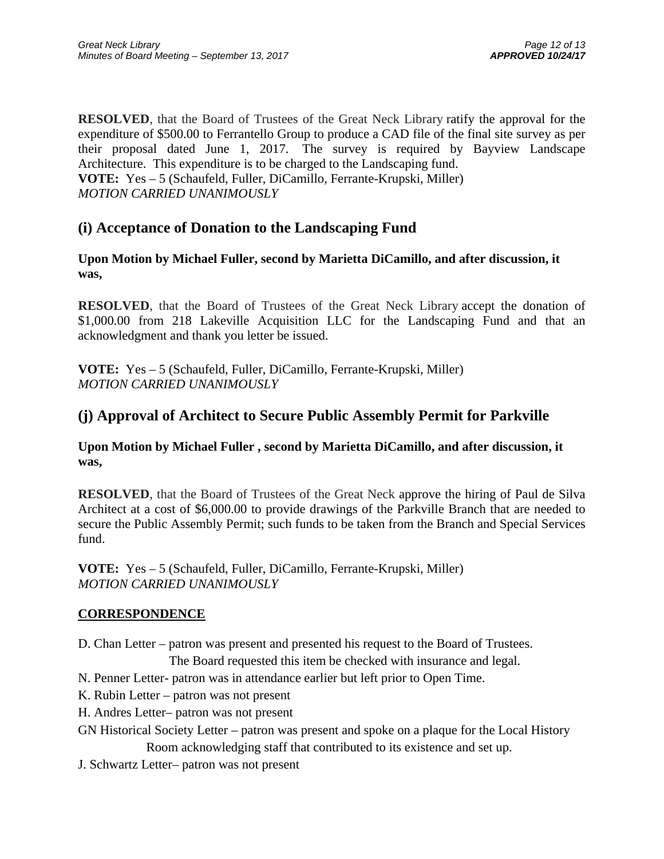**RESOLVED**, that the Board of Trustees of the Great Neck Library ratify the approval for the expenditure of \$500.00 to Ferrantello Group to produce a CAD file of the final site survey as per their proposal dated June 1, 2017. The survey is required by Bayview Landscape Architecture. This expenditure is to be charged to the Landscaping fund. **VOTE:** Yes – 5 (Schaufeld, Fuller, DiCamillo, Ferrante-Krupski, Miller) *MOTION CARRIED UNANIMOUSLY* 

## **(i) Acceptance of Donation to the Landscaping Fund**

### **Upon Motion by Michael Fuller, second by Marietta DiCamillo, and after discussion, it was,**

**RESOLVED**, that the Board of Trustees of the Great Neck Library accept the donation of \$1,000.00 from 218 Lakeville Acquisition LLC for the Landscaping Fund and that an acknowledgment and thank you letter be issued.

**VOTE:** Yes – 5 (Schaufeld, Fuller, DiCamillo, Ferrante-Krupski, Miller) *MOTION CARRIED UNANIMOUSLY* 

# **(j) Approval of Architect to Secure Public Assembly Permit for Parkville**

**Upon Motion by Michael Fuller , second by Marietta DiCamillo, and after discussion, it was,** 

**RESOLVED**, that the Board of Trustees of the Great Neck approve the hiring of Paul de Silva Architect at a cost of \$6,000.00 to provide drawings of the Parkville Branch that are needed to secure the Public Assembly Permit; such funds to be taken from the Branch and Special Services fund.

**VOTE:** Yes – 5 (Schaufeld, Fuller, DiCamillo, Ferrante-Krupski, Miller) *MOTION CARRIED UNANIMOUSLY* 

### **CORRESPONDENCE**

- D. Chan Letter patron was present and presented his request to the Board of Trustees.
	- The Board requested this item be checked with insurance and legal.
- N. Penner Letter- patron was in attendance earlier but left prior to Open Time.
- K. Rubin Letter patron was not present
- H. Andres Letter– patron was not present
- GN Historical Society Letter patron was present and spoke on a plaque for the Local History Room acknowledging staff that contributed to its existence and set up.
- J. Schwartz Letter– patron was not present